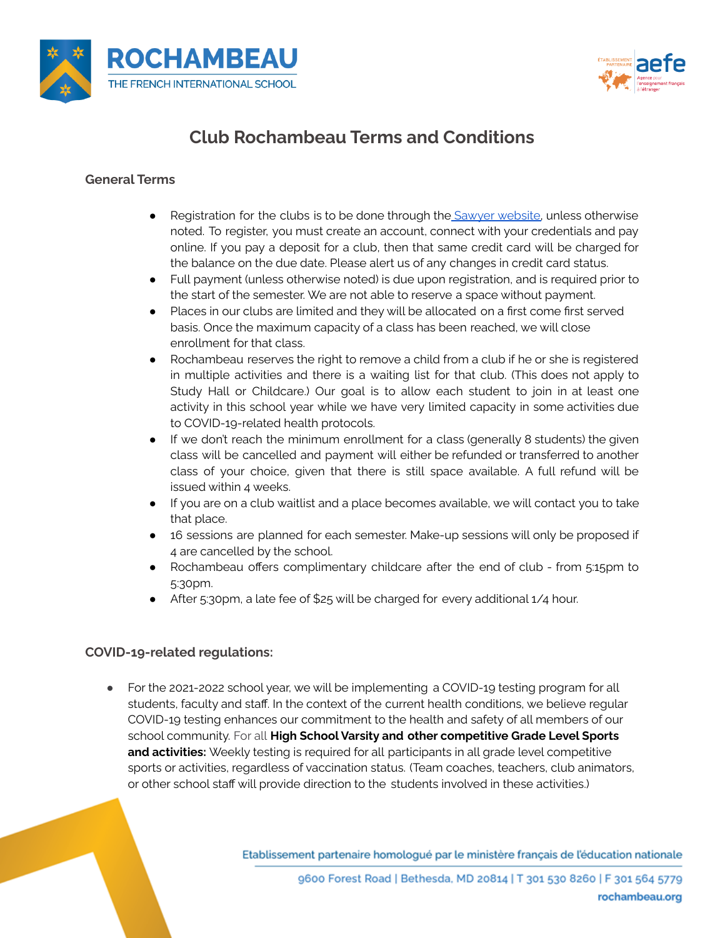



# **Club Rochambeau Terms and Conditions**

# **General Terms**

- Registration for the clubs is to be done through the **Sawyer website**, unless otherwise noted. To register, you must create an account, connect with your credentials and pay online. If you pay a deposit for a club, then that same credit card will be charged for the balance on the due date. Please alert us of any changes in credit card status.
- Full payment (unless otherwise noted) is due upon registration, and is required prior to the start of the semester. We are not able to reserve a space without payment.
- Places in our clubs are limited and they will be allocated on a first come first served basis. Once the maximum capacity of a class has been reached, we will close enrollment for that class.
- Rochambeau reserves the right to remove a child from a club if he or she is registered in multiple activities and there is a waiting list for that club. (This does not apply to Study Hall or Childcare.) Our goal is to allow each student to join in at least one activity in this school year while we have very limited capacity in some activities due to COVID-19-related health protocols.
- If we don't reach the minimum enrollment for a class (generally 8 students) the given class will be cancelled and payment will either be refunded or transferred to another class of your choice, given that there is still space available. A full refund will be issued within 4 weeks.
- If you are on a club waitlist and a place becomes available, we will contact you to take that place.
- 16 sessions are planned for each semester. Make-up sessions will only be proposed if 4 are cancelled by the school.
- Rochambeau offers complimentary childcare after the end of club from 5:15pm to 5:30pm.
- After 5:30pm, a late fee of \$25 will be charged for every additional 1/4 hour.

# **COVID-19-related regulations:**

● For the 2021-2022 school year, we will be implementing a COVID-19 testing program for all students, faculty and staff. In the context of the current health conditions, we believe regular COVID-19 testing enhances our commitment to the health and safety of all members of our school community. For all **High School Varsity and other competitive Grade Level Sports and activities:** Weekly testing is required for all participants in all grade level competitive sports or activities, regardless of vaccination status. (Team coaches, teachers, club animators, or other school staff will provide direction to the students involved in these activities.)

Etablissement partenaire homologué par le ministère français de l'éducation nationale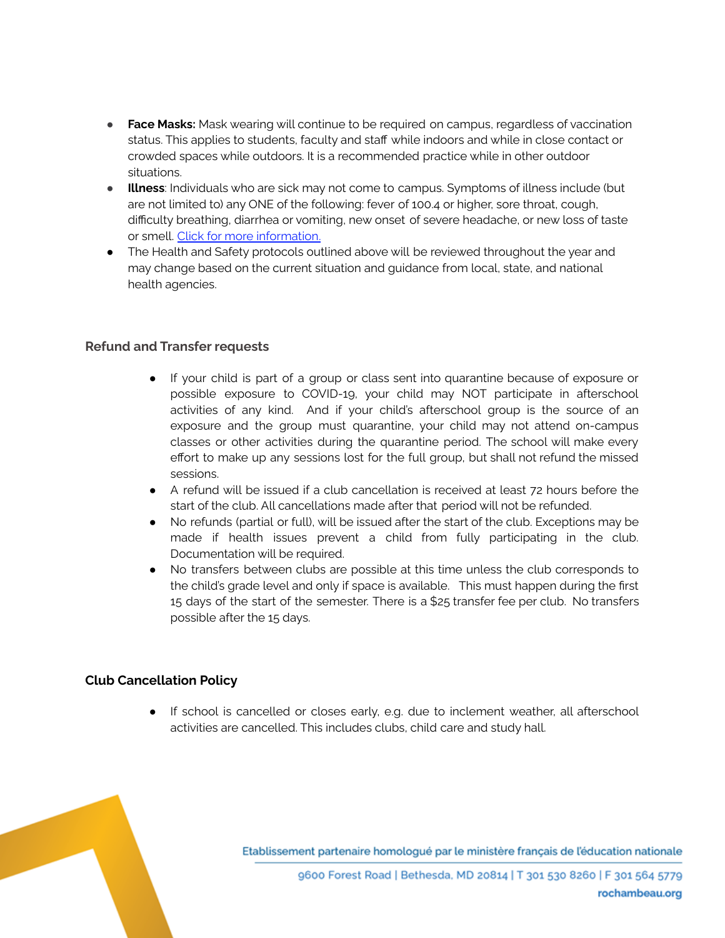- **Face Masks:** Mask wearing will continue to be required on campus, regardless of vaccination status. This applies to students, faculty and staff while indoors and while in close contact or crowded spaces while outdoors. It is a recommended practice while in other outdoor situations.
- **Illness**: Individuals who are sick may not come to campus. Symptoms of illness include (but are not limited to) any ONE of the following: fever of 100.4 or higher, sore throat, cough, difficulty breathing, diarrhea or vomiting, new onset of severe headache, or new loss of taste or smell. Click for more [information](https://www.rochambeau.org/fs/resource-manager/view/d215dad7-3349-4fd7-b8b3-2b388f0f1b34).
- The Health and Safety protocols outlined above will be reviewed throughout the year and may change based on the current situation and guidance from local, state, and national health agencies.

### **Refund and Transfer requests**

- If your child is part of a group or class sent into quarantine because of exposure or possible exposure to COVID-19, your child may NOT participate in afterschool activities of any kind. And if your child's afterschool group is the source of an exposure and the group must quarantine, your child may not attend on-campus classes or other activities during the quarantine period. The school will make every effort to make up any sessions lost for the full group, but shall not refund the missed sessions.
- A refund will be issued if a club cancellation is received at least 72 hours before the start of the club. All cancellations made after that period will not be refunded.
- No refunds (partial or full), will be issued after the start of the club. Exceptions may be made if health issues prevent a child from fully participating in the club. Documentation will be required.
- No transfers between clubs are possible at this time unless the club corresponds to the child's grade level and only if space is available. This must happen during the first 15 days of the start of the semester. There is a \$25 transfer fee per club. No transfers possible after the 15 days.

# **Club Cancellation Policy**

● If school is cancelled or closes early, e.g. due to inclement weather, all afterschool activities are cancelled. This includes clubs, child care and study hall.

Etablissement partenaire homologué par le ministère français de l'éducation nationale